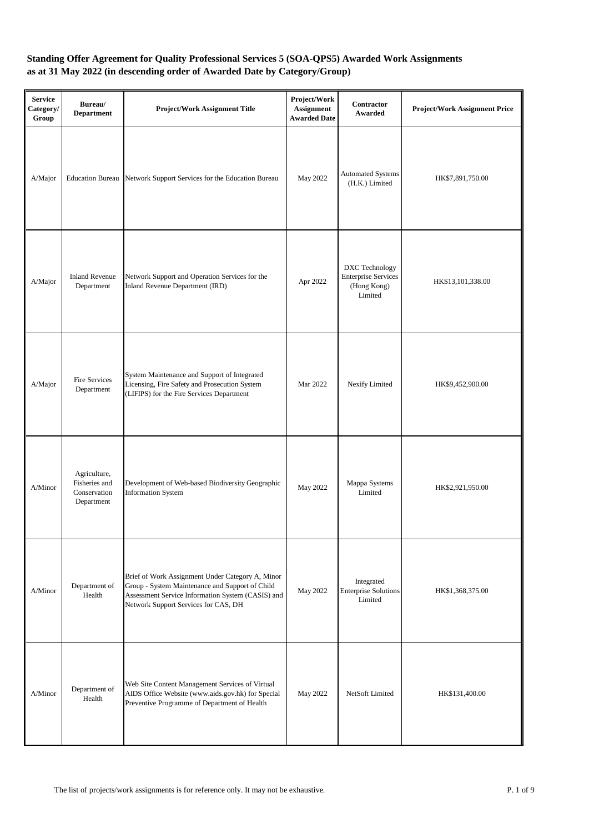| <b>Service</b><br>Category/<br>Group | Bureau/<br><b>Department</b>                                | <b>Project/Work Assignment Title</b>                                                                                                                                                             | Project/Work<br>Assignment<br><b>Awarded Date</b> | <b>Contractor</b><br>Awarded                                           | <b>Project/Work Assignment Price</b> |
|--------------------------------------|-------------------------------------------------------------|--------------------------------------------------------------------------------------------------------------------------------------------------------------------------------------------------|---------------------------------------------------|------------------------------------------------------------------------|--------------------------------------|
| A/Major                              | <b>Education Bureau</b>                                     | Network Support Services for the Education Bureau                                                                                                                                                | May 2022                                          | <b>Automated Systems</b><br>(H.K.) Limited                             | HK\$7,891,750.00                     |
| A/Major                              | <b>Inland Revenue</b><br>Department                         | Network Support and Operation Services for the<br>Inland Revenue Department (IRD)                                                                                                                | Apr 2022                                          | DXC Technology<br><b>Enterprise Services</b><br>(Hong Kong)<br>Limited | HK\$13,101,338.00                    |
| A/Major                              | Fire Services<br>Department                                 | System Maintenance and Support of Integrated<br>Licensing, Fire Safety and Prosecution System<br>(LIFIPS) for the Fire Services Department                                                       | Mar 2022                                          | Nexify Limited                                                         | HK\$9,452,900.00                     |
| A/Minor                              | Agriculture,<br>Fisheries and<br>Conservation<br>Department | Development of Web-based Biodiversity Geographic<br><b>Information System</b>                                                                                                                    | May 2022                                          | Mappa Systems<br>Limited                                               | HK\$2,921,950.00                     |
| A/Minor                              | Department of<br>Health                                     | Brief of Work Assignment Under Category A, Minor<br>Group - System Maintenance and Support of Child<br>Assessment Service Information System (CASIS) and<br>Network Support Services for CAS, DH | May 2022                                          | Integrated<br><b>Enterprise Solutions</b><br>Limited                   | HK\$1,368,375.00                     |
| A/Minor                              | Department of<br>Health                                     | Web Site Content Management Services of Virtual<br>AIDS Office Website (www.aids.gov.hk) for Special<br>Preventive Programme of Department of Health                                             | May 2022                                          | NetSoft Limited                                                        | HK\$131,400.00                       |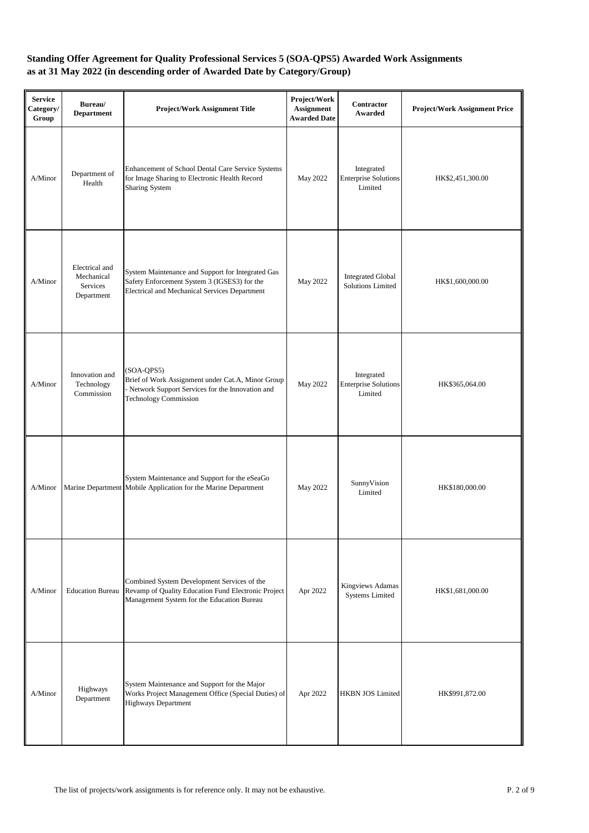| <b>Service</b><br>Category/<br>Group | Bureau/<br><b>Department</b>                           | <b>Project/Work Assignment Title</b>                                                                                                                   | Project/Work<br>Assignment<br><b>Awarded Date</b> | Contractor<br>Awarded                                | <b>Project/Work Assignment Price</b> |
|--------------------------------------|--------------------------------------------------------|--------------------------------------------------------------------------------------------------------------------------------------------------------|---------------------------------------------------|------------------------------------------------------|--------------------------------------|
| A/Minor                              | Department of<br>Health                                | Enhancement of School Dental Care Service Systems<br>for Image Sharing to Electronic Health Record<br><b>Sharing System</b>                            | May 2022                                          | Integrated<br><b>Enterprise Solutions</b><br>Limited | HK\$2,451,300.00                     |
| A/Minor                              | Electrical and<br>Mechanical<br>Services<br>Department | System Maintenance and Support for Integrated Gas<br>Safety Enforcement System 3 (IGSES3) for the<br>Electrical and Mechanical Services Department     | May 2022                                          | <b>Integrated Global</b><br>Solutions Limited        | HK\$1,600,000.00                     |
| A/Minor                              | Innovation and<br>Technology<br>Commission             | $(SOA-QPS5)$<br>Brief of Work Assignment under Cat.A, Minor Group<br>- Network Support Services for the Innovation and<br><b>Technology Commission</b> | May 2022                                          | Integrated<br><b>Enterprise Solutions</b><br>Limited | HK\$365,064.00                       |
| A/Minor                              |                                                        | System Maintenance and Support for the eSeaGo<br>Marine Department Mobile Application for the Marine Department                                        | May 2022                                          | SunnyVision<br>Limited                               | HK\$180,000.00                       |
| A/Minor                              | <b>Education Bureau</b>                                | Combined System Development Services of the<br>Revamp of Quality Education Fund Electronic Project<br>Management System for the Education Bureau       | Apr 2022                                          | Kingviews Adamas<br><b>Systems Limited</b>           | HK\$1,681,000.00                     |
| A/Minor                              | Highways<br>Department                                 | System Maintenance and Support for the Major<br>Works Project Management Office (Special Duties) of<br><b>Highways Department</b>                      | Apr 2022                                          | <b>HKBN JOS Limited</b>                              | HK\$991,872.00                       |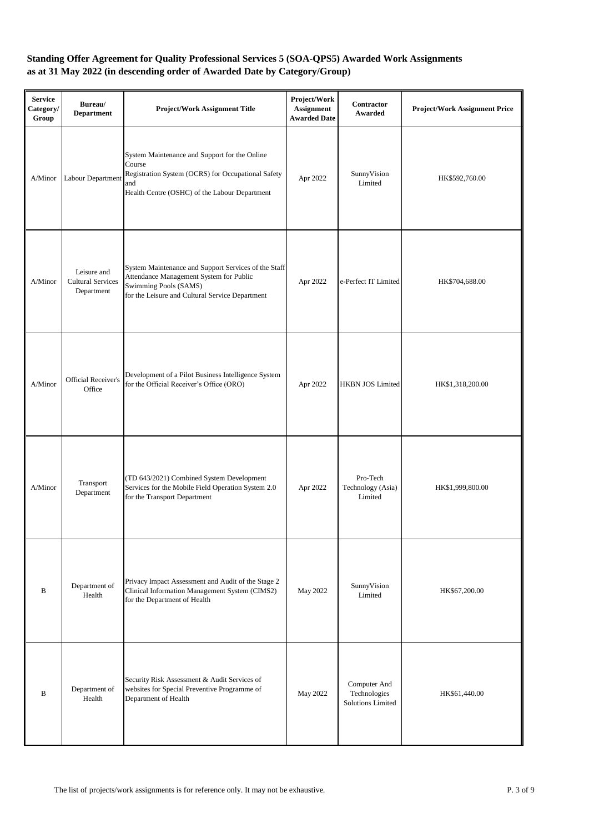| <b>Service</b><br>Category/<br>Group | Bureau/<br><b>Department</b>                          | <b>Project/Work Assignment Title</b>                                                                                                                                        | Project/Work<br><b>Assignment</b><br><b>Awarded Date</b> | Contractor<br>Awarded                             | <b>Project/Work Assignment Price</b> |
|--------------------------------------|-------------------------------------------------------|-----------------------------------------------------------------------------------------------------------------------------------------------------------------------------|----------------------------------------------------------|---------------------------------------------------|--------------------------------------|
| A/Minor                              | Labour Department                                     | System Maintenance and Support for the Online<br>Course<br>Registration System (OCRS) for Occupational Safety<br>and<br>Health Centre (OSHC) of the Labour Department       | Apr 2022                                                 | SunnyVision<br>Limited                            | HK\$592,760.00                       |
| A/Minor                              | Leisure and<br><b>Cultural Services</b><br>Department | System Maintenance and Support Services of the Staff<br>Attendance Management System for Public<br>Swimming Pools (SAMS)<br>for the Leisure and Cultural Service Department | Apr 2022                                                 | e-Perfect IT Limited                              | HK\$704,688.00                       |
| A/Minor                              | Official Receiver's<br>Office                         | Development of a Pilot Business Intelligence System<br>for the Official Receiver's Office (ORO)                                                                             | Apr 2022                                                 | <b>HKBN JOS Limited</b>                           | HK\$1,318,200.00                     |
| A/Minor                              | Transport<br>Department                               | (TD 643/2021) Combined System Development<br>Services for the Mobile Field Operation System 2.0<br>for the Transport Department                                             | Apr 2022                                                 | Pro-Tech<br>Technology (Asia)<br>Limited          | HK\$1,999,800.00                     |
| B                                    | Department of<br>Health                               | Privacy Impact Assessment and Audit of the Stage 2<br>Clinical Information Management System (CIMS2)<br>for the Department of Health                                        | May 2022                                                 | SunnyVision<br>Limited                            | HK\$67,200.00                        |
| B                                    | Department of<br>Health                               | Security Risk Assessment & Audit Services of<br>websites for Special Preventive Programme of<br>Department of Health                                                        | May 2022                                                 | Computer And<br>Technologies<br>Solutions Limited | HK\$61,440.00                        |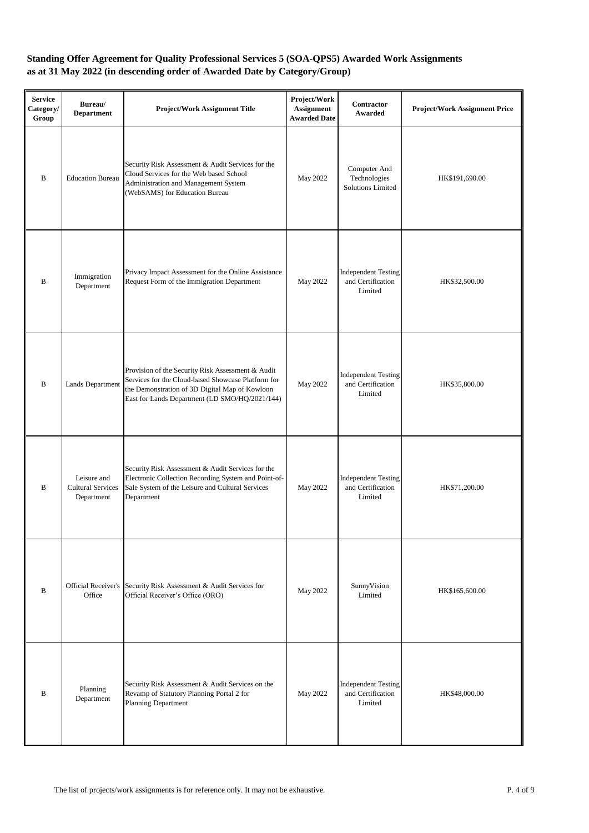| <b>Service</b><br>Category/<br>Group | Bureau/<br><b>Department</b>                          | <b>Project/Work Assignment Title</b>                                                                                                                                                                        | Project/Work<br>Assignment<br><b>Awarded Date</b> | <b>Contractor</b><br>Awarded                               | <b>Project/Work Assignment Price</b> |
|--------------------------------------|-------------------------------------------------------|-------------------------------------------------------------------------------------------------------------------------------------------------------------------------------------------------------------|---------------------------------------------------|------------------------------------------------------------|--------------------------------------|
| $\bf{B}$                             | <b>Education Bureau</b>                               | Security Risk Assessment & Audit Services for the<br>Cloud Services for the Web based School<br>Administration and Management System<br>(WebSAMS) for Education Bureau                                      | May 2022                                          | Computer And<br>Technologies<br>Solutions Limited          | HK\$191,690.00                       |
| B                                    | Immigration<br>Department                             | Privacy Impact Assessment for the Online Assistance<br>Request Form of the Immigration Department                                                                                                           | May 2022                                          | <b>Independent Testing</b><br>and Certification<br>Limited | HK\$32,500.00                        |
| $\bf{B}$                             | Lands Department                                      | Provision of the Security Risk Assessment & Audit<br>Services for the Cloud-based Showcase Platform for<br>the Demonstration of 3D Digital Map of Kowloon<br>East for Lands Department (LD SMO/HQ/2021/144) | May 2022                                          | <b>Independent Testing</b><br>and Certification<br>Limited | HK\$35,800.00                        |
| B                                    | Leisure and<br><b>Cultural Services</b><br>Department | Security Risk Assessment & Audit Services for the<br>Electronic Collection Recording System and Point-of-<br>Sale System of the Leisure and Cultural Services<br>Department                                 | May 2022                                          | <b>Independent Testing</b><br>and Certification<br>Limited | HK\$71,200.00                        |
| $\, {\bf B}$                         | Office                                                | Official Receiver's Security Risk Assessment & Audit Services for<br>Official Receiver's Office (ORO)                                                                                                       | May 2022                                          | SunnyVision<br>Limited                                     | HK\$165,600.00                       |
| B                                    | Planning<br>Department                                | Security Risk Assessment & Audit Services on the<br>Revamp of Statutory Planning Portal 2 for<br><b>Planning Department</b>                                                                                 | May 2022                                          | <b>Independent Testing</b><br>and Certification<br>Limited | HK\$48,000.00                        |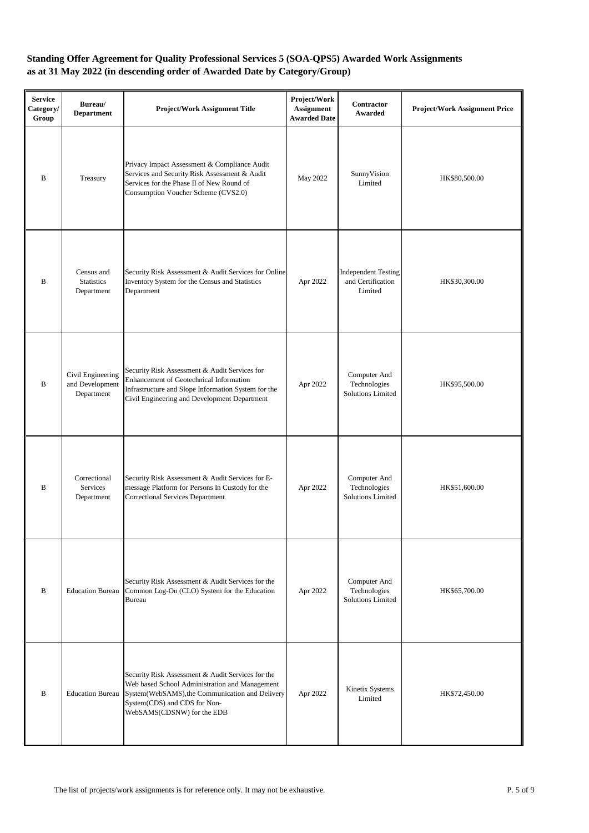| <b>Service</b><br>Category/<br>Group | Bureau/<br><b>Department</b>                       | <b>Project/Work Assignment Title</b>                                                                                                                                                                                 | Project/Work<br><b>Assignment</b><br><b>Awarded Date</b> | <b>Contractor</b><br>Awarded                               | <b>Project/Work Assignment Price</b> |
|--------------------------------------|----------------------------------------------------|----------------------------------------------------------------------------------------------------------------------------------------------------------------------------------------------------------------------|----------------------------------------------------------|------------------------------------------------------------|--------------------------------------|
| $\bf{B}$                             | Treasury                                           | Privacy Impact Assessment & Compliance Audit<br>Services and Security Risk Assessment & Audit<br>Services for the Phase II of New Round of<br>Consumption Voucher Scheme (CVS2.0)                                    | May 2022                                                 | SunnyVision<br>Limited                                     | HK\$80,500.00                        |
| B                                    | Census and<br><b>Statistics</b><br>Department      | Security Risk Assessment & Audit Services for Online<br>Inventory System for the Census and Statistics<br>Department                                                                                                 | Apr 2022                                                 | <b>Independent Testing</b><br>and Certification<br>Limited | HK\$30,300.00                        |
| B                                    | Civil Engineering<br>and Development<br>Department | Security Risk Assessment & Audit Services for<br>Enhancement of Geotechnical Information<br>Infrastructure and Slope Information System for the<br>Civil Engineering and Development Department                      | Apr 2022                                                 | Computer And<br>Technologies<br><b>Solutions Limited</b>   | HK\$95,500.00                        |
| B                                    | Correctional<br>Services<br>Department             | Security Risk Assessment & Audit Services for E-<br>message Platform for Persons In Custody for the<br><b>Correctional Services Department</b>                                                                       | Apr 2022                                                 | Computer And<br>Technologies<br><b>Solutions Limited</b>   | HK\$51,600.00                        |
| B                                    | <b>Education Bureau</b>                            | Security Risk Assessment & Audit Services for the<br>Common Log-On (CLO) System for the Education<br>Bureau                                                                                                          | Apr 2022                                                 | Computer And<br>Technologies<br><b>Solutions Limited</b>   | HK\$65,700.00                        |
| B                                    | <b>Education Bureau</b>                            | Security Risk Assessment & Audit Services for the<br>Web based School Administration and Management<br>System(WebSAMS), the Communication and Delivery<br>System(CDS) and CDS for Non-<br>WebSAMS(CDSNW) for the EDB | Apr 2022                                                 | Kinetix Systems<br>Limited                                 | HK\$72,450.00                        |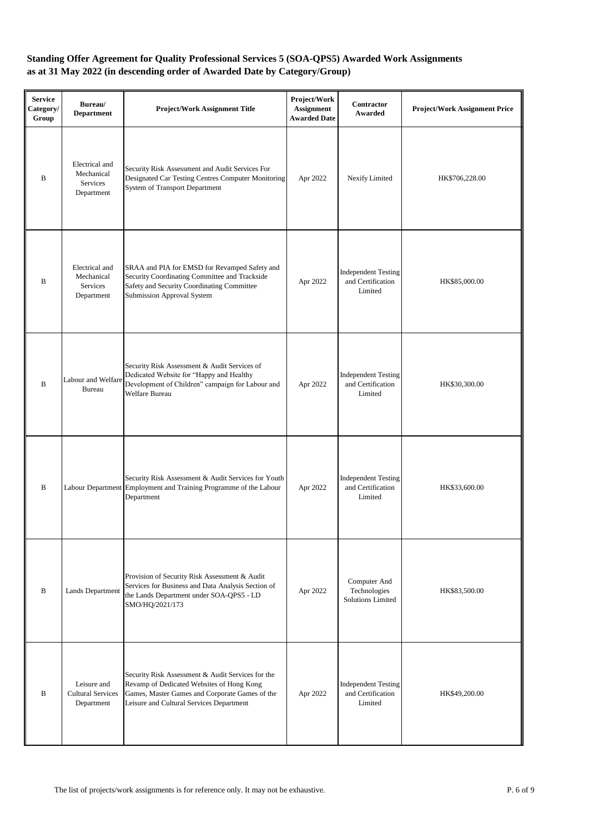| <b>Service</b><br>Category/<br>Group | Bureau/<br><b>Department</b>                           | <b>Project/Work Assignment Title</b>                                                                                                                                                         | Project/Work<br><b>Assignment</b><br><b>Awarded Date</b> | <b>Contractor</b><br>Awarded                               | <b>Project/Work Assignment Price</b> |
|--------------------------------------|--------------------------------------------------------|----------------------------------------------------------------------------------------------------------------------------------------------------------------------------------------------|----------------------------------------------------------|------------------------------------------------------------|--------------------------------------|
| B                                    | Electrical and<br>Mechanical<br>Services<br>Department | Security Risk Assessment and Audit Services For<br>Designated Car Testing Centres Computer Monitoring<br>System of Transport Department                                                      | Apr 2022                                                 | Nexify Limited                                             | HK\$706,228.00                       |
| B                                    | Electrical and<br>Mechanical<br>Services<br>Department | SRAA and PIA for EMSD for Revamped Safety and<br>Security Coordinating Committee and Trackside<br>Safety and Security Coordinating Committee<br>Submission Approval System                   | Apr 2022                                                 | <b>Independent Testing</b><br>and Certification<br>Limited | HK\$85,000.00                        |
| $\bf{B}$                             | Labour and Welfare<br><b>Bureau</b>                    | Security Risk Assessment & Audit Services of<br>Dedicated Website for "Happy and Healthy<br>Development of Children" campaign for Labour and<br>Welfare Bureau                               | Apr 2022                                                 | <b>Independent Testing</b><br>and Certification<br>Limited | HK\$30,300.00                        |
| $\, {\bf B}$                         |                                                        | Security Risk Assessment & Audit Services for Youth<br>Labour Department Employment and Training Programme of the Labour<br>Department                                                       | Apr 2022                                                 | <b>Independent Testing</b><br>and Certification<br>Limited | HK\$33,600.00                        |
| B                                    | Lands Department                                       | Provision of Security Risk Assessment & Audit<br>Services for Business and Data Analysis Section of<br>the Lands Department under SOA-QPS5 - LD<br>SMO/HQ/2021/173                           | Apr 2022                                                 | Computer And<br>Technologies<br><b>Solutions Limited</b>   | HK\$83,500.00                        |
| B                                    | Leisure and<br><b>Cultural Services</b><br>Department  | Security Risk Assessment & Audit Services for the<br>Revamp of Dedicated Websites of Hong Kong<br>Games, Master Games and Corporate Games of the<br>Leisure and Cultural Services Department | Apr 2022                                                 | <b>Independent Testing</b><br>and Certification<br>Limited | HK\$49,200.00                        |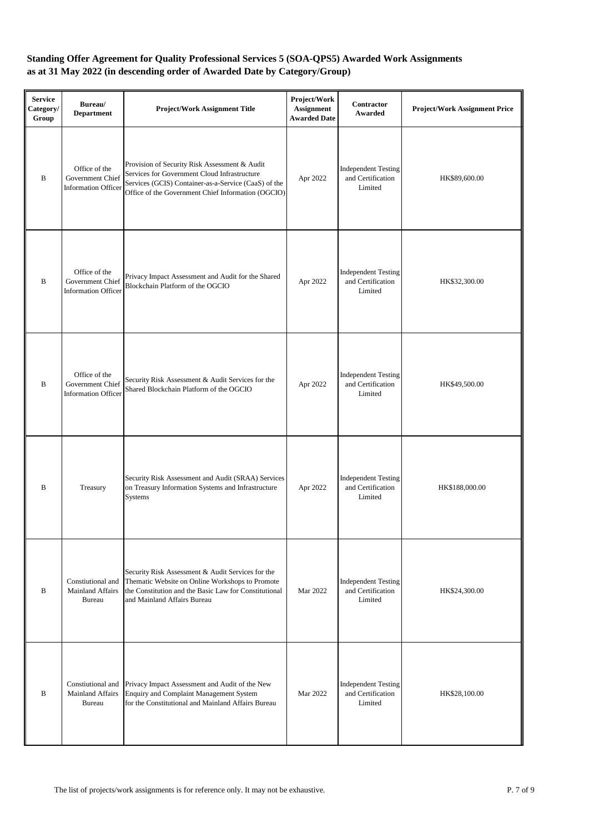| <b>Service</b><br>Category/<br>Group | Bureau/<br><b>Department</b>                                    | <b>Project/Work Assignment Title</b>                                                                                                                                                                        | Project/Work<br>Assignment<br><b>Awarded Date</b> | <b>Contractor</b><br>Awarded                               | <b>Project/Work Assignment Price</b> |
|--------------------------------------|-----------------------------------------------------------------|-------------------------------------------------------------------------------------------------------------------------------------------------------------------------------------------------------------|---------------------------------------------------|------------------------------------------------------------|--------------------------------------|
| $\bf{B}$                             | Office of the<br>Government Chief<br><b>Information Officer</b> | Provision of Security Risk Assessment & Audit<br>Services for Government Cloud Infrastructure<br>Services (GCIS) Container-as-a-Service (CaaS) of the<br>Office of the Government Chief Information (OGCIO) | Apr 2022                                          | <b>Independent Testing</b><br>and Certification<br>Limited | HK\$89,600.00                        |
| B                                    | Office of the<br>Government Chief<br><b>Information Officer</b> | Privacy Impact Assessment and Audit for the Shared<br>Blockchain Platform of the OGCIO                                                                                                                      | Apr 2022                                          | <b>Independent Testing</b><br>and Certification<br>Limited | HK\$32,300.00                        |
| $\bf{B}$                             | Office of the<br>Government Chief<br><b>Information Officer</b> | Security Risk Assessment & Audit Services for the<br>Shared Blockchain Platform of the OGCIO                                                                                                                | Apr 2022                                          | <b>Independent Testing</b><br>and Certification<br>Limited | HK\$49,500.00                        |
| B                                    | Treasury                                                        | Security Risk Assessment and Audit (SRAA) Services<br>on Treasury Information Systems and Infrastructure<br><b>Systems</b>                                                                                  | Apr 2022                                          | <b>Independent Testing</b><br>and Certification<br>Limited | HK\$188,000.00                       |
| B                                    | Constiutional and<br><b>Mainland Affairs</b><br><b>Bureau</b>   | Security Risk Assessment & Audit Services for the<br>Thematic Website on Online Workshops to Promote<br>the Constitution and the Basic Law for Constitutional<br>and Mainland Affairs Bureau                | Mar 2022                                          | <b>Independent Testing</b><br>and Certification<br>Limited | HK\$24,300.00                        |
| B                                    | Constiutional and<br><b>Mainland Affairs</b><br><b>Bureau</b>   | Privacy Impact Assessment and Audit of the New<br>Enquiry and Complaint Management System<br>for the Constitutional and Mainland Affairs Bureau                                                             | Mar 2022                                          | <b>Independent Testing</b><br>and Certification<br>Limited | HK\$28,100.00                        |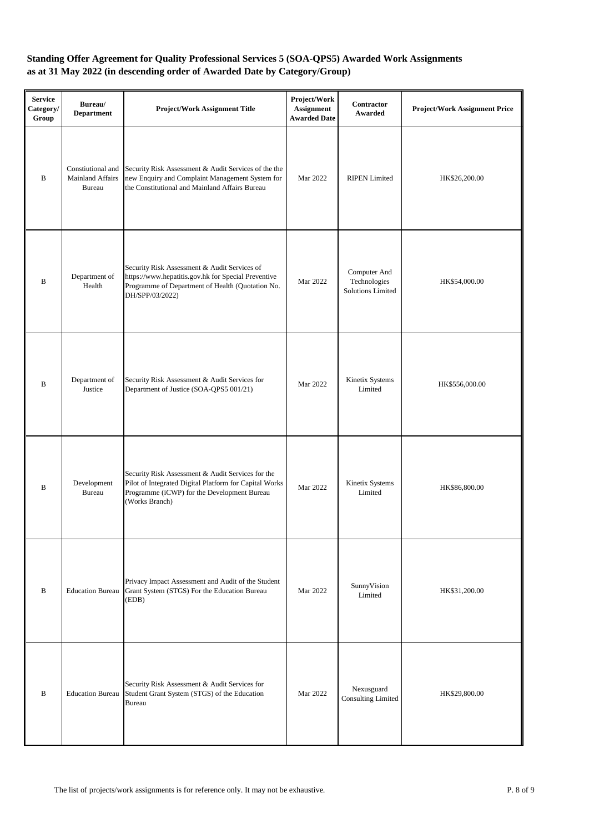| <b>Service</b><br>Category/<br>Group | Bureau/<br><b>Department</b>                                  | <b>Project/Work Assignment Title</b>                                                                                                                                         | Project/Work<br>Assignment<br><b>Awarded Date</b> | Contractor<br>Awarded                                    | <b>Project/Work Assignment Price</b> |
|--------------------------------------|---------------------------------------------------------------|------------------------------------------------------------------------------------------------------------------------------------------------------------------------------|---------------------------------------------------|----------------------------------------------------------|--------------------------------------|
| B                                    | Constiutional and<br><b>Mainland Affairs</b><br><b>Bureau</b> | Security Risk Assessment & Audit Services of the the<br>new Enquiry and Complaint Management System for<br>the Constitutional and Mainland Affairs Bureau                    | Mar 2022                                          | <b>RIPEN Limited</b>                                     | HK\$26,200.00                        |
| $\, {\bf B}$                         | Department of<br>Health                                       | Security Risk Assessment & Audit Services of<br>https://www.hepatitis.gov.hk for Special Preventive<br>Programme of Department of Health (Quotation No.<br>DH/SPP/03/2022)   | Mar 2022                                          | Computer And<br>Technologies<br><b>Solutions Limited</b> | HK\$54,000.00                        |
| B                                    | Department of<br>Justice                                      | Security Risk Assessment & Audit Services for<br>Department of Justice (SOA-QPS5 001/21)                                                                                     | Mar 2022                                          | Kinetix Systems<br>Limited                               | HK\$556,000.00                       |
| $\, {\bf B}$                         | Development<br><b>Bureau</b>                                  | Security Risk Assessment & Audit Services for the<br>Pilot of Integrated Digital Platform for Capital Works<br>Programme (iCWP) for the Development Bureau<br>(Works Branch) | Mar 2022                                          | Kinetix Systems<br>Limited                               | HK\$86,800.00                        |
| $\, {\bf B}$                         | <b>Education Bureau</b>                                       | Privacy Impact Assessment and Audit of the Student<br>Grant System (STGS) For the Education Bureau<br>(EDB)                                                                  | Mar 2022                                          | SunnyVision<br>Limited                                   | HK\$31,200.00                        |
| B                                    | <b>Education Bureau</b>                                       | Security Risk Assessment & Audit Services for<br>Student Grant System (STGS) of the Education<br><b>Bureau</b>                                                               | Mar 2022                                          | Nexusguard<br><b>Consulting Limited</b>                  | HK\$29,800.00                        |